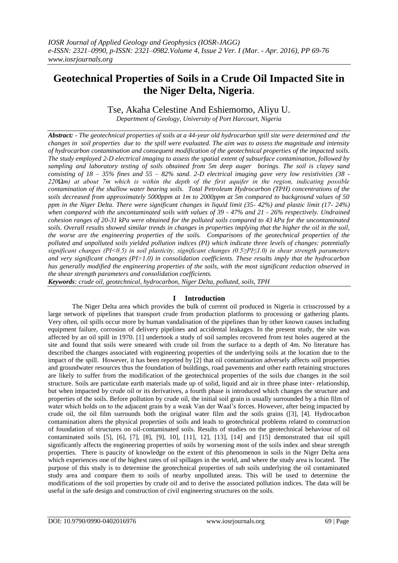# **Geotechnical Properties of Soils in a Crude Oil Impacted Site in the Niger Delta, Nigeria**.

Tse, Akaha Celestine And Eshiemomo, Aliyu U.

*Department of Geology, University of Port Harcourt, Nigeria*

*Abstract: - The geotechnical properties of soils at a 44-year old hydrocarbon spill site were determined and the changes in soil properties due to the spill were evaluated. The aim was to assess the magnitude and intensity of hydrocarbon contamination and consequent modification of the geotechnical properties of the impacted soils. The study employed 2-D electrical imaging to assess the spatial extent of subsurface contamination, followed by sampling and laboratory testing of soils obtained from 5m deep auger borings. The soil is clayey sand consisting of 18 – 35% fines and 55 – 82% sand. 2-D electrical imaging gave very low resistivities (38 - 220Ωm) at about 7m which is within the depth of the first aquifer in the region, indicating possible contamination of the shallow water bearing soils. Total Petroleum Hydrocarbon (TPH) concentrations of the soils decreased from approximately 5000ppm at 1m to 2000ppm at 5m compared to background values of 50 ppm in the Niger Delta. There were significant changes in liquid limit (35- 42%) and plastic limit (17- 24%) when compared with the uncontaminated soils with values of 39 - 47% and 21 - 26% respectively. Undrained cohesion ranges of 20-31 kPa were obtained for the polluted soils compared to 43 kPa for the uncontaminated soils. Overall results showed similar trends in changes in properties implying that the higher the oil in the soil, the worse are the engineering properties of the soils. Comparisons of the geotechnical properties of the polluted and unpolluted soils yielded pollution indices (PI) which indicate three levels of changes: potentially significant changes (PI<0.5) in soil plasticity, significant changes (0.5≥PI≤1.0) in shear strength parameters and very significant changes (PI>1.0) in consolidation coefficients. These results imply that the hydrocarbon has generally modified the engineering properties of the soils, with the most significant reduction observed in the shear strength parameters and consolidation coefficients.*

*Keywords: crude oil, geotechnical, hydrocarbon, Niger Delta, polluted, soils, TPH*

# **I Introduction**

The Niger Delta area which provides the bulk of current oil produced in Nigeria is crisscrossed by a large network of pipelines that transport crude from production platforms to processing or gathering plants. Very often, oil spills occur more by human vandalisation of the pipelines than by other known causes including equipment failure, corrosion of delivery pipelines and accidental leakages. In the present study, the site was affected by an oil spill in 1970. [1] undertook a study of soil samples recovered from test holes augered at the site and found that soils were smeared with crude oil from the surface to a depth of 4m. No literature has described the changes associated with engineering properties of the underlying soils at the location due to the impact of the spill. However, it has been reported by [2] that oil contamination adversely affects soil properties and groundwater resources thus the foundation of buildings, road pavements and other earth retaining structures are likely to suffer from the modification of the geotechnical properties of the soils due changes in the soil structure. Soils are particulate earth materials made up of solid, liquid and air in three phase inter- relationship, but when impacted by crude oil or its derivatives, a fourth phase is introduced which changes the structure and properties of the soils. Before pollution by crude oil, the initial soil grain is usually surrounded by a thin film of water which holds on to the adjacent grain by a weak Van der Waal's forces. However, after being impacted by crude oil, the oil film surrounds both the original water film and the soils grains ([3], [4]. Hydrocarbon contamination alters the physical properties of soils and leads to geotechnical problems related to construction of foundation of structures on oil-contaminated soils. Results of studies on the geotechnical behaviour of oil contaminated soils [5], [6], [7], [8], [9], 10], [11], 12], [13], [14] and [15] demonstrated that oil spill significantly affects the engineering properties of soils by worsening most of the soils index and shear strength properties. There is paucity of knowledge on the extent of this phenomenon in soils in the Niger Delta area which experiences one of the highest rates of oil spillages in the world, and where the study area is located. The purpose of this study is to determine the geotechnical properties of sub soils underlying the oil contaminated study area and compare them to soils of nearby unpolluted areas. This will be used to determine the modifications of the soil properties by crude oil and to derive the associated pollution indices. The data will be useful in the safe design and construction of civil engineering structures on the soils.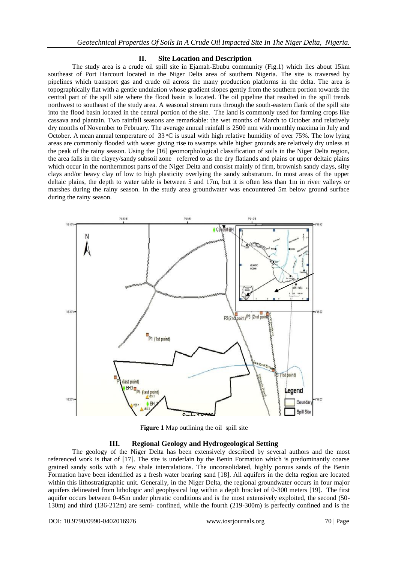# **II. Site Location and Description**

The study area is a crude oil spill site in Ejamah-Ebubu community (Fig.1) which lies about 15km southeast of Port Harcourt located in the Niger Delta area of southern Nigeria. The site is traversed by pipelines which transport gas and crude oil across the many production platforms in the delta. The area is topographically flat with a gentle undulation whose gradient slopes gently from the southern portion towards the central part of the spill site where the flood basin is located. The oil pipeline that resulted in the spill trends northwest to southeast of the study area. A seasonal stream runs through the south-eastern flank of the spill site into the flood basin located in the central portion of the site. The land is commonly used for farming crops like cassava and plantain. Two rainfall seasons are remarkable: the wet months of March to October and relatively dry months of November to February. The average annual rainfall is 2500 mm with monthly maxima in July and October. A mean annual temperature of  $33 \text{ °C}$  is usual with high relative humidity of over 75%. The low lying areas are commonly flooded with water giving rise to swamps while higher grounds are relatively dry unless at the peak of the rainy season. Using the [16] geomorphological classification of soils in the Niger Delta region, the area falls in the clayey/sandy subsoil zone referred to as the dry flatlands and plains or upper deltaic plains which occur in the northernmost parts of the Niger Delta and consist mainly of firm, brownish sandy clays, silty clays and/or heavy clay of low to high plasticity overlying the sandy substratum. In most areas of the upper deltaic plains, the depth to water table is between 5 and 17m, but it is often less than 1m in river valleys or marshes during the rainy season. In the study area groundwater was encountered 5m below ground surface during the rainy season.



Figure 1 Map outlining the oil spill site

# **III. Regional Geology and Hydrogeological Setting**

The geology of the Niger Delta has been extensively described by several authors and the most referenced work is that of [17]. The site is underlain by the Benin Formation which is predominantly coarse grained sandy soils with a few shale intercalations. The unconsolidated, highly porous sands of the Benin Formation have been identified as a fresh water bearing sand [18]. All aquifers in the delta region are located within this lithostratigraphic unit. Generally, in the Niger Delta, the regional groundwater occurs in four major aquifers delineated from lithologic and geophysical log within a depth bracket of 0-300 meters [19]. The first aquifer occurs between 0-45m under phreatic conditions and is the most extensively exploited, the second (50- 130m) and third (136-212m) are semi- confined, while the fourth (219-300m) is perfectly confined and is the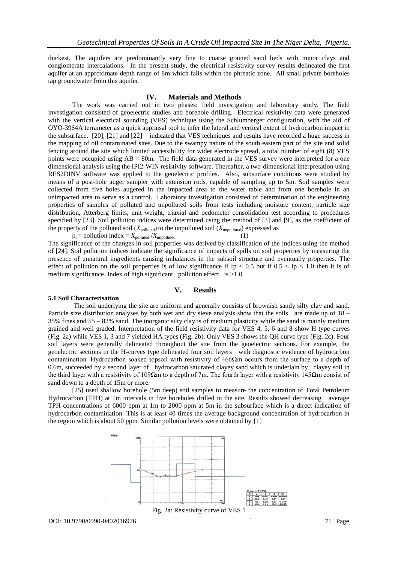thickest. The aquifers are predominantly very fine to coarse grained sand beds with minor clays and conglomerate intercalations. In the present study, the electrical resistivity survey results delineated the first aquifer at an approximate depth range of 8m which falls within the phreatic zone. All small private boreholes tap groundwater from this aquifer.

#### **IV. Materials and Methods**

The work was carried out in two phases: field investigation and laboratory study. The field investigation consisted of geoelectric studies and borehole drilling. Electrical resistivity data were generated with the vertical electrical sounding (VES) technique using the Schlumberger configuration, with the aid of OYO-3964A terrameter as a quick appraisal tool to infer the lateral and vertical extent of hydrocarbon impact in the subsurface. [20], [21] and [22] indicated that VES techniques and results have recorded a huge success in the mapping of oil contaminated sites. Due to the swampy nature of the south eastern part of the site and solid fencing around the site which limited accessibility for wider electrode spread, a total number of eight (8) VES points were occupied using  $AB = 80$ m. The field data generated in the VES survey were interpreted for a one dimensional analysis using the IPI2-WIN resistivity software. Thereafter, a two-dimensional interpretation using RES2DINV software was applied to the geoelectric profiles. Also, subsurface conditions were studied by means of a post-hole auger sampler with extension rods, capable of sampling up to 5m. Soil samples were collected from five holes augered in the impacted area to the water table and from one borehole in an unimpacted area to serve as a control. Laboratory investigation consisted of determination of the engineering properties of samples of polluted and unpolluted soils from tests including moisture content, particle size distribution, Atterberg limits, unit weight, triaxial and oedometer consolidation test according to procedures specified by [23]. Soil pollution indices were determined using the method of [3] and [9], as the coefficient of the property of the polluted soil  $(X_{\text{polluted}})$  to the unpolluted soil  $(X_{\text{unpolluted}})$  expressed as

 $p_i =$  pollution index =  $X_{\text{polluted}} / X_{\text{unpolluted}}$  (1) The significance of the changes in soil properties was derived by classification of the indices using the method of [24]. Soil pollution indices indicate the significance of impacts of spills on soil properties by measuring the presence of unnatural ingredients causing imbalances in the subsoil structure and eventually properties. The effect of pollution on the soil properties is of low significance if Ip < 0.5 but if  $0.5 <$  Ip < 1.0 then it is of medium significance. Index of high significant pollution effect is  $>1.0$ 

#### **V. Results**

#### **5.1 Soil Characterisation**

The soil underlying the site are uniform and generally consists of brownish sandy silty clay and sand. Particle size distribution analyses by both wet and dry sieve analysis show that the soils are made up of 18 – 35% fines and 55 – 82% sand. The inorganic silty clay is of medium plasticity while the sand is mainly medium grained and well graded. Interpretation of the field resistivity data for VES 4, 5, 6 and 8 show H type curves (Fig. 2a) while VES 1, 3 and 7 yielded HA types (Fig. 2b). Only VES 3 shows the QH curve type (Fig. 2c). Four soil layers were generally delineated throughout the site from the geoelectric sections. For example, the geoelectric sections in the H-curves type delineated four soil layers with diagnostic evidence of hydrocarbon contamination. Hydrocarbon soaked topsoil with resistivity of 466Ωm occurs from the surface to a depth of 0.6m, succeeded by a second layer of hydrocarbon saturated clayey sand which is underlain by clayey soil in the third layer with a resistivity of 109 $\Omega$ m to a depth of 7m. The fourth layer with a resistivity 145 $\Omega$ m consist of sand down to a depth of 15m or more.

[25] used shallow borehole (5m deep) soil samples to measure the concentration of Total Petroleum Hydrocarbon (TPH) at 1m intervals in five boreholes drilled in the site. Results showed decreasing average TPH concentrations of 6000 ppm at 1m to 2000 ppm at 5m in the subsurface which is a direct indication of hydrocarbon contamination. This is at least 40 times the average background concentration of hydrocarbon in the region which is about 50 ppm. Similar pollution levels were obtained by  $\{1\}$ 

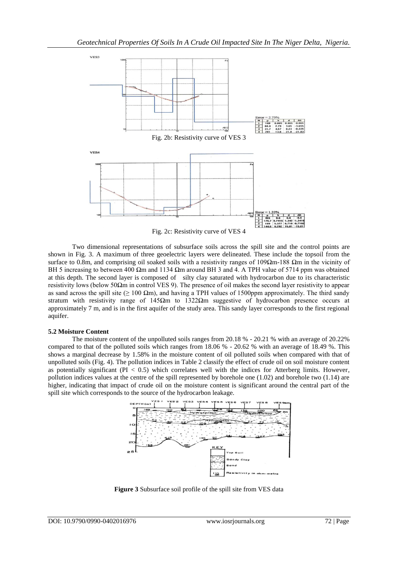

Two dimensional representations of subsurface soils across the spill site and the control points are shown in Fig. 3. A maximum of three geoelectric layers were delineated. These include the topsoil from the surface to 0.8m, and comprising oil soaked soils with a resistivity ranges of 109Ωm-188 Ωm in the vicinity of BH 5 increasing to between 400 Ωm and 1134 Ωm around BH 3 and 4. A TPH value of 5714 ppm was obtained at this depth. The second layer is composed of silty clay saturated with hydrocarbon due to its characteristic resistivity lows (below 50Ωm in control VES 9). The presence of oil makes the second layer resistivity to appear as sand across the spill site ( $\geq 100 \Omega$ m), and having a TPH values of 1500ppm approximately. The third sandy stratum with resistivity range of 145 $\Omega$ m to 1322 $\Omega$ m suggestive of hydrocarbon presence occurs at approximately 7 m, and is in the first aquifer of the study area. This sandy layer corresponds to the first regional aquifer.

## **5.2 Moisture Content**

The moisture content of the unpolluted soils ranges from 20.18 % - 20.21 % with an average of 20.22% compared to that of the polluted soils which ranges from 18.06 % - 20.62 % with an average of 18.49 %. This shows a marginal decrease by 1.58% in the moisture content of oil polluted soils when compared with that of unpolluted soils (Fig. 4). The pollution indices in Table 2 classify the effect of crude oil on soil moisture content as potentially significant ( $PI < 0.5$ ) which correlates well with the indices for Atterberg limits. However, pollution indices values at the centre of the spill represented by borehole one (1.02) and borehole two (1.14) are higher, indicating that impact of crude oil on the moisture content is significant around the central part of the spill site which corresponds to the source of the hydrocarbon leakage.



**Figure 3** Subsurface soil profile of the spill site from VES data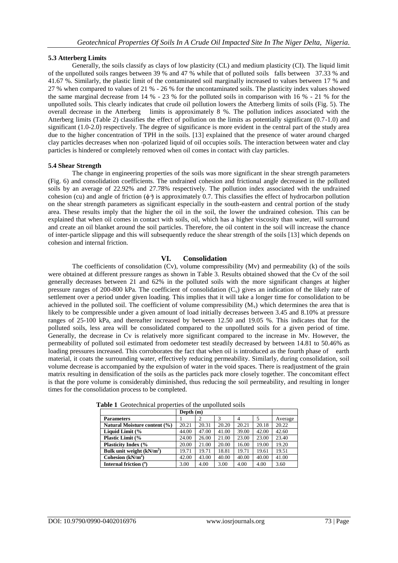## **5.3 Atterberg Limits**

Generally, the soils classify as clays of low plasticity (CL) and medium plasticity (CI). The liquid limit of the unpolluted soils ranges between 39 % and 47 % while that of polluted soils falls between 37.33 % and 41.67 %. Similarly, the plastic limit of the contaminated soil marginally increased to values between 17 % and 27 % when compared to values of 21 % - 26 % for the uncontaminated soils. The plasticity index values showed the same marginal decrease from 14 % - 23 % for the polluted soils in comparison with 16 % - 21 % for the unpolluted soils. This clearly indicates that crude oil pollution lowers the Atterberg limits of soils (Fig. 5). The overall decrease in the Atterberg limits is approximately 8 %. The pollution indices associated with the Atterberg limits (Table 2) classifies the effect of pollution on the limits as potentially significant (0.7-1.0) and significant (1.0-2.0) respectively. The degree of significance is more evident in the central part of the study area due to the higher concentration of TPH in the soils. [13] explained that the presence of water around charged clay particles decreases when non -polarized liquid of oil occupies soils. The interaction between water and clay particles is hindered or completely removed when oil comes in contact with clay particles.

## **5.4 Shear Strength**

The change in engineering properties of the soils was more significant in the shear strength parameters (Fig. 6) and consolidation coefficients. The undrained cohesion and frictional angle decreased in the polluted soils by an average of 22.92% and 27.78% respectively. The pollution index associated with the undrained cohesion (cu) and angle of friction  $(\phi^0)$  is approximately 0.7. This classifies the effect of hydrocarbon pollution on the shear strength parameters as significant especially in the south-eastern and central portion of the study area. These results imply that the higher the oil in the soil, the lower the undrained cohesion. This can be explained that when oil comes in contact with soils, oil, which has a higher viscosity than water, will surround and create an oil blanket around the soil particles. Therefore, the oil content in the soil will increase the chance of inter-particle slippage and this will subsequently reduce the shear strength of the soils [13] which depends on cohesion and internal friction.

# **VI. Consolidation**

The coefficients of consolidation  $(Cv)$ , volume compressibility  $(Mv)$  and permeability  $(k)$  of the soils were obtained at different pressure ranges as shown in Table 3. Results obtained showed that the Cv of the soil generally decreases between 21 and 62% in the polluted soils with the more significant changes at higher pressure ranges of 200-800 kPa. The coefficient of consolidation  $(C_v)$  gives an indication of the likely rate of settlement over a period under given loading. This implies that it will take a longer time for consolidation to be achieved in the polluted soil. The coefficient of volume compressibility  $(M_v)$  which determines the area that is likely to be compressible under a given amount of load initially decreases between 3.45 and 8.10% at pressure ranges of 25-100 kPa, and thereafter increased by between 12.50 and 19.05 %. This indicates that for the polluted soils, less area will be consolidated compared to the unpolluted soils for a given period of time. Generally, the decrease in Cv is relatively more significant compared to the increase in Mv. However, the permeability of polluted soil estimated from oedometer test steadily decreased by between 14.81 to 50.46% as loading pressures increased. This corroborates the fact that when oil is introduced as the fourth phase of earth material, it coats the surrounding water, effectively reducing permeability. Similarly, during consolidation, soil volume decrease is accompanied by the expulsion of water in the void spaces. There is readjustment of the grain matrix resulting in densification of the soils as the particles pack more closely together. The concomitant effect is that the pore volume is considerably diminished, thus reducing the soil permeability, and resulting in longer times for the consolidation process to be completed.

|                              | Depth $(m)$ |       |       |       |       |         |
|------------------------------|-------------|-------|-------|-------|-------|---------|
| <b>Parameters</b>            |             |       | 3     | 4     |       | Average |
| Natural Moisture content (%) | 20.21       | 20.31 | 20.20 | 20.21 | 20.18 | 20.22   |
| Liquid Limit (%              | 44.00       | 47.00 | 41.00 | 39.00 | 42.00 | 42.60   |
| <b>Plastic Limit (%</b>      | 24.00       | 26.00 | 21.00 | 23.00 | 23.00 | 23.40   |
| <b>Plasticity Index (%</b>   | 20.00       | 21.00 | 20.00 | 16.00 | 19.00 | 19.20   |
| Bulk unit weight $(kN/m2)$   | 19.71       | 19.71 | 18.81 | 19.71 | 19.61 | 19.51   |
| Cohesion $(kN/m2)$           | 42.00       | 43.00 | 40.00 | 40.00 | 40.00 | 41.00   |
| Internal friction $(°)$      | 3.00        | 4.00  | 3.00  | 4.00  | 4.00  | 3.60    |

**Table 1** Geotechnical properties of the unpolluted soils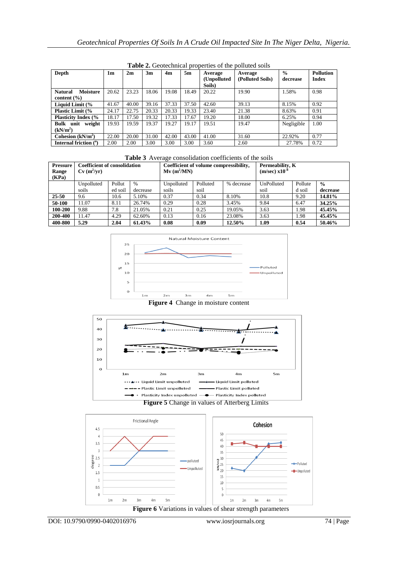| <b>Table 2.</b> Occidentifical properties of the pottated sons |       |       |       |       |       |              |                  |               |                  |
|----------------------------------------------------------------|-------|-------|-------|-------|-------|--------------|------------------|---------------|------------------|
| Depth                                                          | 1m    | 2m    | 3m    | 4m    | 5m    | Average      | Average          | $\frac{0}{0}$ | <b>Pollution</b> |
|                                                                |       |       |       |       |       | (Unpolluted) | (Polluted Soils) | decrease      | <b>Index</b>     |
|                                                                |       |       |       |       |       | Soils)       |                  |               |                  |
| <b>Natural</b><br><b>Moisture</b>                              | 20.62 | 23.23 | 18.06 | 19.08 | 18.49 | 20.22        | 19.90            | 1.58%         | 0.98             |
| content $(\% )$                                                |       |       |       |       |       |              |                  |               |                  |
| Liquid Limit (%                                                | 41.67 | 40.00 | 39.16 | 37.33 | 37.50 | 42.60        | 39.13            | 8.15%         | 0.92             |
| <b>Plastic Limit (%</b>                                        | 24.17 | 22.75 | 20.33 | 20.33 | 19.33 | 23.40        | 21.38            | 8.63%         | 0.91             |
| <b>Plasticity Index (%)</b>                                    | 18.17 | 17.50 | 19.32 | 17.33 | 17.67 | 19.20        | 18.00            | 6.25%         | 0.94             |
| Bulk unit<br>weight                                            | 19.93 | 19.59 | 19.37 | 19.27 | 19.17 | 19.51        | 19.47            | Negligible    | 1.00             |
| (kN/m <sup>2</sup> )                                           |       |       |       |       |       |              |                  |               |                  |
| Cohesion $(kN/m2)$                                             | 22.00 | 20.00 | 31.00 | 42.00 | 43.00 | 41.00        | 31.60            | 22.92%        | 0.77             |
| Internal friction (°)                                          | 2.00  | 2.00  | 3.00  | 3.00  | 3.00  | 3.60         | 2.60             | 27.78%        | 0.72             |

**Table 2.** Geotechnical properties of the polluted soils

| Table 3 Average consolidation coefficients of the soils |  |  |  |
|---------------------------------------------------------|--|--|--|
|---------------------------------------------------------|--|--|--|

| <b>Pressure</b><br>Range<br>(KPa) | <b>Coefficient of consolidation</b><br>$Cv(m^2/vr)$ |         |               | Coefficient of volume compressibility,<br>$Mv (m^2/MN)$ |          |            | Those Private compondation coefficients of the bond<br>Permeability, K<br>$(m/sec)$ x10 <sup>-8</sup> |         |               |
|-----------------------------------|-----------------------------------------------------|---------|---------------|---------------------------------------------------------|----------|------------|-------------------------------------------------------------------------------------------------------|---------|---------------|
|                                   | Unpolluted                                          | Pollut  | $\frac{0}{0}$ | Unpolluted                                              | Polluted | % decrease | UnPolluted                                                                                            | Pollute | $\frac{0}{0}$ |
|                                   | soils                                               | ed soil | decrease      | soils                                                   | soil     |            | soil                                                                                                  | d soil  | decrease      |
| $25 - 50$                         | 9.6                                                 | 10.6    | 5.10%         | 0.37                                                    | 0.34     | 8.10%      | 10.8                                                                                                  | 9.20    | 14.81%        |
| 50-100                            | 11.07                                               | 8.11    | 26.74%        | 0.29                                                    | 0.28     | 3.45%      | 9.84                                                                                                  | 6.47    | 34.25%        |
| 100-200                           | 9.88                                                | 7.8     | 21.05%        | 0.21                                                    | 0.25     | 19.05%     | 3.63                                                                                                  | 1.98    | 45.45%        |
| 200-400                           | 11.47                                               | 4.29    | 62.60%        | 0.13                                                    | 0.16     | 23.08%     | 3.63                                                                                                  | 1.98    | 45.45%        |
| 400-800                           | 5.29                                                | 2.04    | 61.43%        | 0.08                                                    | 0.09     | 12.50%     | 1.09                                                                                                  | 0.54    | 50.46%        |



**Figure 4** Change in moisture content



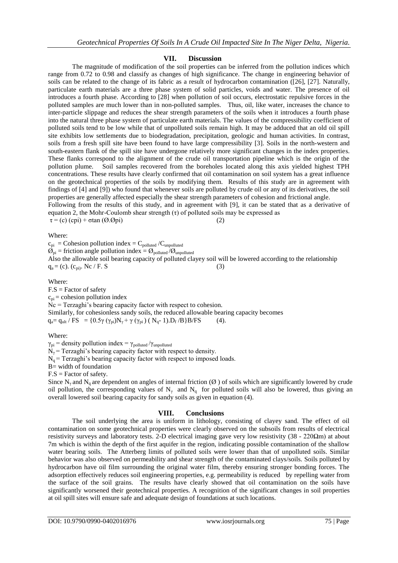## **VII. Discussion**

The magnitude of modification of the soil properties can be inferred from the pollution indices which range from 0.72 to 0.98 and classify as changes of high significance. The change in engineering behavior of soils can be related to the change of its fabric as a result of hydrocarbon contamination ([26], [27]. Naturally, particulate earth materials are a three phase system of solid particles, voids and water. The presence of oil introduces a fourth phase. According to [28] when pollution of soil occurs, electrostatic repulsive forces in the polluted samples are much lower than in non-polluted samples. Thus, oil, like water, increases the chance to inter-particle slippage and reduces the shear strength parameters of the soils when it introduces a fourth phase into the natural three phase system of particulate earth materials. The values of the compressibility coefficient of polluted soils tend to be low while that of unpolluted soils remain high. It may be adduced that an old oil spill site exhibits low settlements due to biodegradation, precipitation, geologic and human activities. In contrast, soils from a fresh spill site have been found to have large compressibility [3]. Soils in the north-western and south-eastern flank of the spill site have undergone relatively more significant changes in the index properties. These flanks correspond to the alignment of the crude oil transportation pipeline which is the origin of the pollution plume. Soil samples recovered from the boreholes located along this axis yielded highest TPH concentrations. These results have clearly confirmed that oil contamination on soil system has a great influence on the geotechnical properties of the soils by modifying them. Results of this study are in agreement with findings of [4] and [9]) who found that whenever soils are polluted by crude oil or any of its derivatives, the soil properties are generally affected especially the shear strength parameters of cohesion and frictional angle. Following from the results of this study, and in agreement with [9], it can be stated that as a derivative of equation 2, the Mohr-Coulomb shear strength (τ) of polluted soils may be expressed as

 $\tau = (c) (cpi) + \sigma \tan (\emptyset. \emptyset \text{pi})$  (2)

#### Where:

 $c_{pi}$  = Cohesion pollution index =  $C_{polluted} / C_{unpolluted}$  $\mathcal{O}_{\text{pi}}$  = friction angle pollution index =  $\mathcal{O}_{\text{polluted}}/\mathcal{O}_{\text{unpolluted}}$ Also the allowable soil bearing capacity of polluted clayey soil will be lowered according to the relationship  $q_a = (c)$ .  $(c_{pi})$ . Nc / F. S (3)

Where:

 $F.S = Factor of safety$  $c_{pi}$  = cohesion pollution index Nc = Terzaghi's bearing capacity factor with respect to cohesion. Similarly, for cohesionless sandy soils, the reduced allowable bearing capacity becomes  $q_a = q_{ult} / FS = \{0.5\gamma (\gamma_{pi})N_{\gamma} + \gamma (\gamma_{pi}) (N_{q} - 1).D_f / B\}B/FS$  (4).

Where:

 $\gamma_{pi}$  = density pollution index =  $\gamma_{polluted}/\gamma_{unpoluted}$ 

 $N_\gamma$  = Terzaghi's bearing capacity factor with respect to density.

 $N_q$  = Terzaghi's bearing capacity factor with respect to imposed loads.

 $B=$  width of foundation

 $F.S = Factor of safety.$ 

Since N<sub>y</sub> and N<sub>q</sub> are dependent on angles of internal friction ( $\emptyset$ ) of soils which are significantly lowered by crude oil pollution, the corresponding values of  $N_\gamma$  and  $N_q$  for polluted soils will also be lowered, thus giving an overall lowered soil bearing capacity for sandy soils as given in equation (4).

## **VIII. Conclusions**

The soil underlying the area is uniform in lithology, consisting of clayey sand. The effect of oil contamination on some geotechnical properties were clearly observed on the subsoils from results of electrical resistivity surveys and laboratory tests. 2-D electrical imaging gave very low resistivity ( $38 - 220\Omega$ m) at about 7m which is within the depth of the first aquifer in the region, indicating possible contamination of the shallow water bearing soils. The Atterberg limits of polluted soils were lower than that of unpolluted soils. Similar behavior was also observed on permeability and shear strength of the contaminated clays/soils. Soils polluted by hydrocarbon have oil film surrounding the original water film, thereby ensuring stronger bonding forces. The adsorption effectively reduces soil engineering properties, e.g. permeability is reduced by repelling water from the surface of the soil grains. The results have clearly showed that oil contamination on the soils have significantly worsened their geotechnical properties. A recognition of the significant changes in soil properties at oil spill sites will ensure safe and adequate design of foundations at such locations.